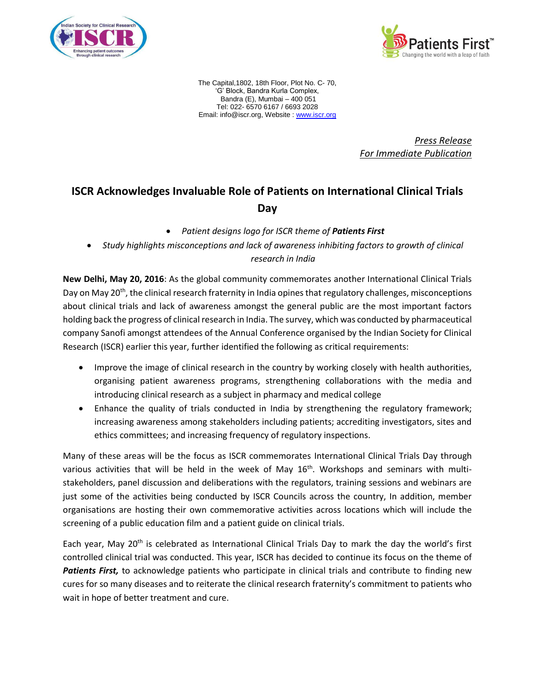



The Capital,1802, 18th Floor, Plot No. C- 70, 'G' Block, Bandra Kurla Complex, Bandra (E), Mumbai – 400 051 Tel: 022- 6570 6167 / 6693 2028 Email: info@iscr.org, Website : [www.iscr.org](http://www.iscr.org/)

> *Press Release For Immediate Publication*

## **ISCR Acknowledges Invaluable Role of Patients on International Clinical Trials Day**

- *Patient designs logo for ISCR theme of Patients First*
- *Study highlights misconceptions and lack of awareness inhibiting factors to growth of clinical research in India*

**New Delhi, May 20, 2016**: As the global community commemorates another International Clinical Trials Day on May 20<sup>th</sup>, the clinical research fraternity in India opines that regulatory challenges, misconceptions about clinical trials and lack of awareness amongst the general public are the most important factors holding back the progress of clinical research in India. The survey, which was conducted by pharmaceutical company Sanofi amongst attendees of the Annual Conference organised by the Indian Society for Clinical Research (ISCR) earlier this year, further identified the following as critical requirements:

- Improve the image of clinical research in the country by working closely with health authorities, organising patient awareness programs, strengthening collaborations with the media and introducing clinical research as a subject in pharmacy and medical college
- Enhance the quality of trials conducted in India by strengthening the regulatory framework; increasing awareness among stakeholders including patients; accrediting investigators, sites and ethics committees; and increasing frequency of regulatory inspections.

Many of these areas will be the focus as ISCR commemorates International Clinical Trials Day through various activities that will be held in the week of May 16<sup>th</sup>. Workshops and seminars with multistakeholders, panel discussion and deliberations with the regulators, training sessions and webinars are just some of the activities being conducted by ISCR Councils across the country, In addition, member organisations are hosting their own commemorative activities across locations which will include the screening of a public education film and a patient guide on clinical trials.

Each year, May 20<sup>th</sup> is celebrated as International Clinical Trials Day to mark the day the world's first controlled clinical trial was conducted. This year, ISCR has decided to continue its focus on the theme of *Patients First,* to acknowledge patients who participate in clinical trials and contribute to finding new cures for so many diseases and to reiterate the clinical research fraternity's commitment to patients who wait in hope of better treatment and cure.